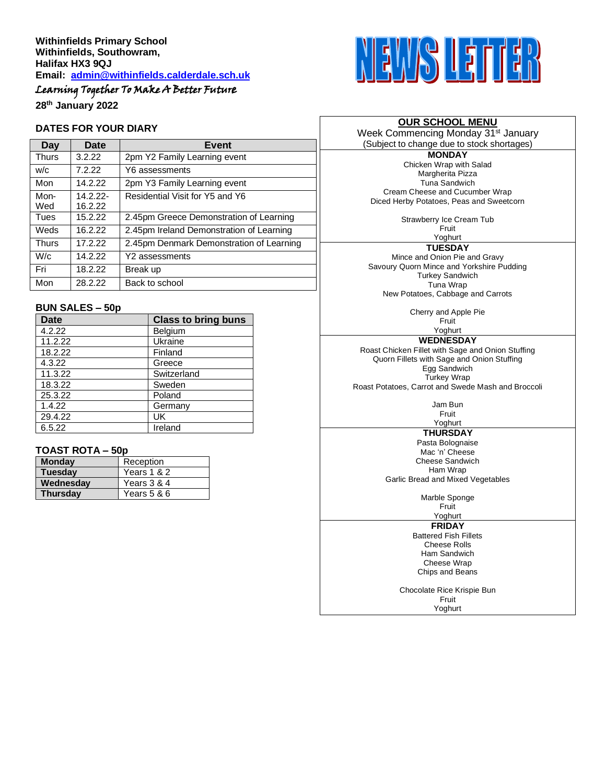# Learning Together To Make A Better Future

**28th January 2022**

#### **DATES FOR YOUR DIARY**

| Day          | Date                | <b>Event</b>                             |
|--------------|---------------------|------------------------------------------|
| <b>Thurs</b> | 3.2.22              | 2pm Y2 Family Learning event             |
| W/C          | 7.2.22              | Y6 assessments                           |
| Mon          | 14.2.22             | 2pm Y3 Family Learning event             |
| Mon-<br>Wed  | 14.2.22-<br>16.2.22 | Residential Visit for Y5 and Y6          |
| Tues         | 15.2.22             | 2.45pm Greece Demonstration of Learning  |
| Weds         | 16.2.22             | 2.45pm Ireland Demonstration of Learning |
| <b>Thurs</b> | 17.2.22             | 2.45pm Denmark Demonstration of Learning |
| W/c          | 14.2.22             | Y2 assessments                           |
| Fri          | 18.2.22             | Break up                                 |
| Mon          | 28.2.22             | Back to school                           |

#### **BUN SALES – 50p**

| <b>Date</b> | <b>Class to bring buns</b> |
|-------------|----------------------------|
| 4.2.22      | Belgium                    |
| 11.2.22     | Ukraine                    |
| 18.2.22     | Finland                    |
| 4.3.22      | Greece                     |
| 11.3.22     | Switzerland                |
| 18.3.22     | Sweden                     |
| 25.3.22     | Poland                     |
| 1.4.22      | Germany                    |
| 29.4.22     | UK                         |
| 6.5.22      | Ireland                    |

# **TOAST ROTA – 50p**

| <b>Monday</b>   | Reception     |  |
|-----------------|---------------|--|
| <b>Tuesday</b>  | Years 1 & 2   |  |
| Wednesday       | Years 3 & 4   |  |
| <b>Thursday</b> | Years $5 & 6$ |  |



# **OUR SCHOOL MENU**

Week Commencing Monday 31<sup>st</sup> January (Subject to change due to stock shortages)

**MONDAY** Chicken Wrap with Salad Margherita Pizza Tuna Sandwich Cream Cheese and Cucumber Wrap Diced Herby Potatoes, Peas and Sweetcorn

Strawberry Ice Cream Tub

Fruit Yoghurt

**TUESDAY**

Mince and Onion Pie and Gravy Savoury Quorn Mince and Yorkshire Pudding Turkey Sandwich Tuna Wrap New Potatoes, Cabbage and Carrots

> Cherry and Apple Pie Fruit

Yoghurt **WEDNESDAY**

Roast Chicken Fillet with Sage and Onion Stuffing Quorn Fillets with Sage and Onion Stuffing Egg Sandwich Turkey Wrap Roast Potatoes, Carrot and Swede Mash and Broccoli

> Jam Bun Fruit

# Yoghurt

**THURSDAY** Pasta Bolognaise Mac 'n' Cheese Cheese Sandwich Ham Wrap Garlic Bread and Mixed Vegetables

Marble Sponge

Fruit Yoghurt

**FRIDAY**

Battered Fish Fillets Cheese Rolls Ham Sandwich Cheese Wrap Chips and Beans

Chocolate Rice Krispie Bun Fruit Yoghurt